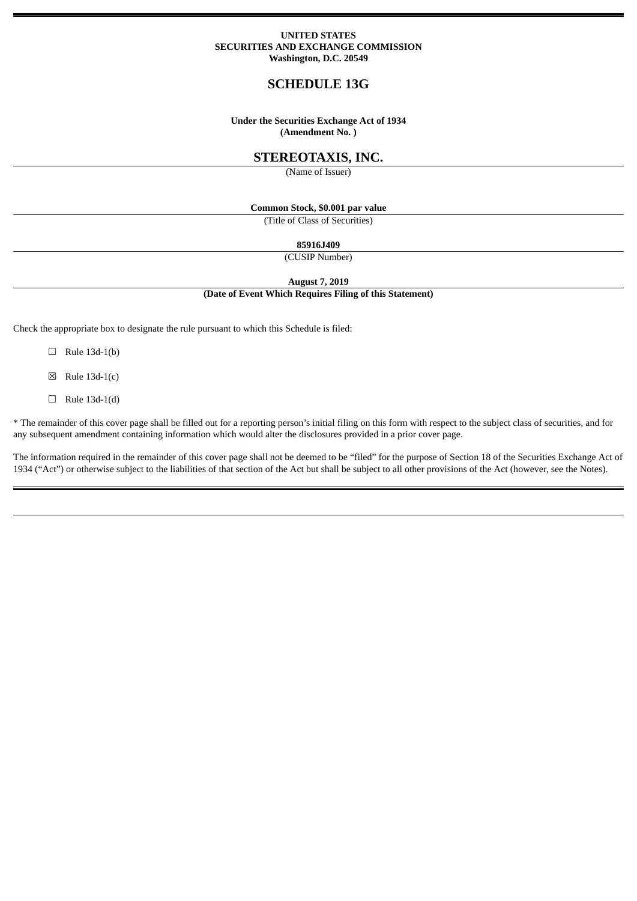#### **UNITED STATES SECURITIES AND EXCHANGE COMMISSION Washington, D.C. 20549**

# **SCHEDULE 13G**

#### **Under the Securities Exchange Act of 1934 (Amendment No. )**

## **STEREOTAXIS, INC.**

(Name of Issuer)

## **Common Stock, \$0.001 par value**

(Title of Class of Securities)

## **85916J409**

(CUSIP Number)

**August 7, 2019**

#### **(Date of Event Which Requires Filing of this Statement)**

Check the appropriate box to designate the rule pursuant to which this Schedule is filed:

- $\Box$  Rule 13d-1(b)
- $\boxtimes$  Rule 13d-1(c)
- $\Box$  Rule 13d-1(d)

\* The remainder of this cover page shall be filled out for a reporting person's initial filing on this form with respect to the subject class of securities, and for any subsequent amendment containing information which would alter the disclosures provided in a prior cover page.

The information required in the remainder of this cover page shall not be deemed to be "filed" for the purpose of Section 18 of the Securities Exchange Act of 1934 ("Act") or otherwise subject to the liabilities of that section of the Act but shall be subject to all other provisions of the Act (however, see the Notes).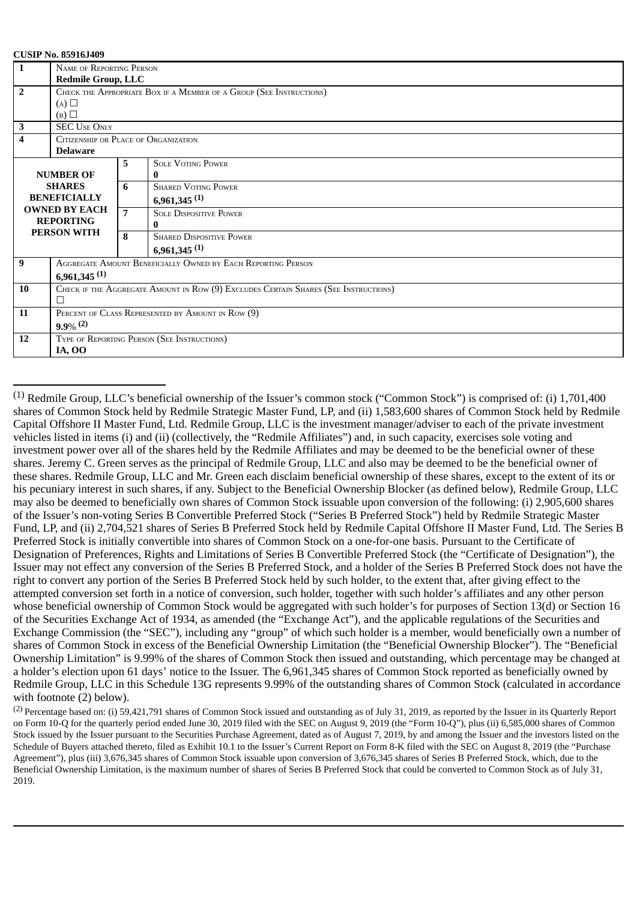| $\mathbf{1}$        | <b>NAME OF REPORTING PERSON</b>                                     |                |                                                                                     |  |  |  |
|---------------------|---------------------------------------------------------------------|----------------|-------------------------------------------------------------------------------------|--|--|--|
|                     | <b>Redmile Group, LLC</b>                                           |                |                                                                                     |  |  |  |
|                     |                                                                     |                |                                                                                     |  |  |  |
| $\overline{2}$      | CHECK THE APPROPRIATE BOX IF A MEMBER OF A GROUP (SEE INSTRUCTIONS) |                |                                                                                     |  |  |  |
|                     | $(A)$ $\square$                                                     |                |                                                                                     |  |  |  |
|                     | (B)                                                                 |                |                                                                                     |  |  |  |
| 3                   | <b>SEC USE ONLY</b>                                                 |                |                                                                                     |  |  |  |
| 4                   | CITIZENSHIP OR PLACE OF ORGANIZATION                                |                |                                                                                     |  |  |  |
|                     | <b>Delaware</b>                                                     |                |                                                                                     |  |  |  |
|                     |                                                                     | 5.             | <b>SOLE VOTING POWER</b>                                                            |  |  |  |
|                     | <b>NUMBER OF</b>                                                    |                | $\bf{0}$                                                                            |  |  |  |
|                     | <b>SHARES</b>                                                       | 6              | <b>SHARED VOTING POWER</b>                                                          |  |  |  |
| <b>BENEFICIALLY</b> |                                                                     |                | $6,961,345$ <sup>(1)</sup>                                                          |  |  |  |
|                     | <b>OWNED BY EACH</b>                                                | $\overline{7}$ | <b>SOLE DISPOSITIVE POWER</b>                                                       |  |  |  |
|                     | <b>REPORTING</b>                                                    |                | 0                                                                                   |  |  |  |
|                     | PERSON WITH                                                         | 8              | <b>SHARED DISPOSITIVE POWER</b>                                                     |  |  |  |
|                     |                                                                     |                | $6,961,345$ <sup>(1)</sup>                                                          |  |  |  |
| 9                   |                                                                     |                | AGGREGATE AMOUNT BENEFICIALLY OWNED BY EACH REPORTING PERSON                        |  |  |  |
|                     | $6,961,345$ <sup>(1)</sup>                                          |                |                                                                                     |  |  |  |
| 10                  |                                                                     |                | CHECK IF THE AGGREGATE AMOUNT IN ROW (9) EXCLUDES CERTAIN SHARES (SEE INSTRUCTIONS) |  |  |  |
|                     | П                                                                   |                |                                                                                     |  |  |  |
| 11                  | PERCENT OF CLASS REPRESENTED BY AMOUNT IN ROW (9)                   |                |                                                                                     |  |  |  |
|                     | $9.9\%$ <sup>(2)</sup>                                              |                |                                                                                     |  |  |  |
| 12                  |                                                                     |                | TYPE OF REPORTING PERSON (SEE INSTRUCTIONS)                                         |  |  |  |
|                     | <b>IA, OO</b>                                                       |                |                                                                                     |  |  |  |

 $^{(1)}$  Redmile Group, LLC's beneficial ownership of the Issuer's common stock ("Common Stock") is comprised of: (i) 1,701,400 shares of Common Stock held by Redmile Strategic Master Fund, LP, and (ii) 1,583,600 shares of Common Stock held by Redmile Capital Offshore II Master Fund, Ltd. Redmile Group, LLC is the investment manager/adviser to each of the private investment vehicles listed in items (i) and (ii) (collectively, the "Redmile Affiliates") and, in such capacity, exercises sole voting and investment power over all of the shares held by the Redmile Affiliates and may be deemed to be the beneficial owner of these shares. Jeremy C. Green serves as the principal of Redmile Group, LLC and also may be deemed to be the beneficial owner of these shares. Redmile Group, LLC and Mr. Green each disclaim beneficial ownership of these shares, except to the extent of its or his pecuniary interest in such shares, if any. Subject to the Beneficial Ownership Blocker (as defined below), Redmile Group, LLC may also be deemed to beneficially own shares of Common Stock issuable upon conversion of the following: (i) 2,905,600 shares of the Issuer's non-voting Series B Convertible Preferred Stock ("Series B Preferred Stock") held by Redmile Strategic Master Fund, LP, and (ii) 2,704,521 shares of Series B Preferred Stock held by Redmile Capital Offshore II Master Fund, Ltd. The Series B Preferred Stock is initially convertible into shares of Common Stock on a one-for-one basis. Pursuant to the Certificate of Designation of Preferences, Rights and Limitations of Series B Convertible Preferred Stock (the "Certificate of Designation"), the Issuer may not effect any conversion of the Series B Preferred Stock, and a holder of the Series B Preferred Stock does not have the right to convert any portion of the Series B Preferred Stock held by such holder, to the extent that, after giving effect to the attempted conversion set forth in a notice of conversion, such holder, together with such holder's affiliates and any other person whose beneficial ownership of Common Stock would be aggregated with such holder's for purposes of Section 13(d) or Section 16 of the Securities Exchange Act of 1934, as amended (the "Exchange Act"), and the applicable regulations of the Securities and Exchange Commission (the "SEC"), including any "group" of which such holder is a member, would beneficially own a number of shares of Common Stock in excess of the Beneficial Ownership Limitation (the "Beneficial Ownership Blocker"). The "Beneficial Ownership Limitation" is 9.99% of the shares of Common Stock then issued and outstanding, which percentage may be changed at a holder's election upon 61 days' notice to the Issuer. The 6,961,345 shares of Common Stock reported as beneficially owned by Redmile Group, LLC in this Schedule 13G represents 9.99% of the outstanding shares of Common Stock (calculated in accordance with footnote (2) below).

(2) Percentage based on: (i) 59,421,791 shares of Common Stock issued and outstanding as of July 31, 2019, as reported by the Issuer in its Quarterly Report on Form 10-Q for the quarterly period ended June 30, 2019 filed with the SEC on August 9, 2019 (the "Form 10-Q"), plus (ii) 6,585,000 shares of Common Stock issued by the Issuer pursuant to the Securities Purchase Agreement, dated as of August 7, 2019, by and among the Issuer and the investors listed on the Schedule of Buyers attached thereto, filed as Exhibit 10.1 to the Issuer's Current Report on Form 8-K filed with the SEC on August 8, 2019 (the "Purchase Agreement"), plus (iii) 3,676,345 shares of Common Stock issuable upon conversion of 3,676,345 shares of Series B Preferred Stock, which, due to the Beneficial Ownership Limitation, is the maximum number of shares of Series B Preferred Stock that could be converted to Common Stock as of July 31, 2019.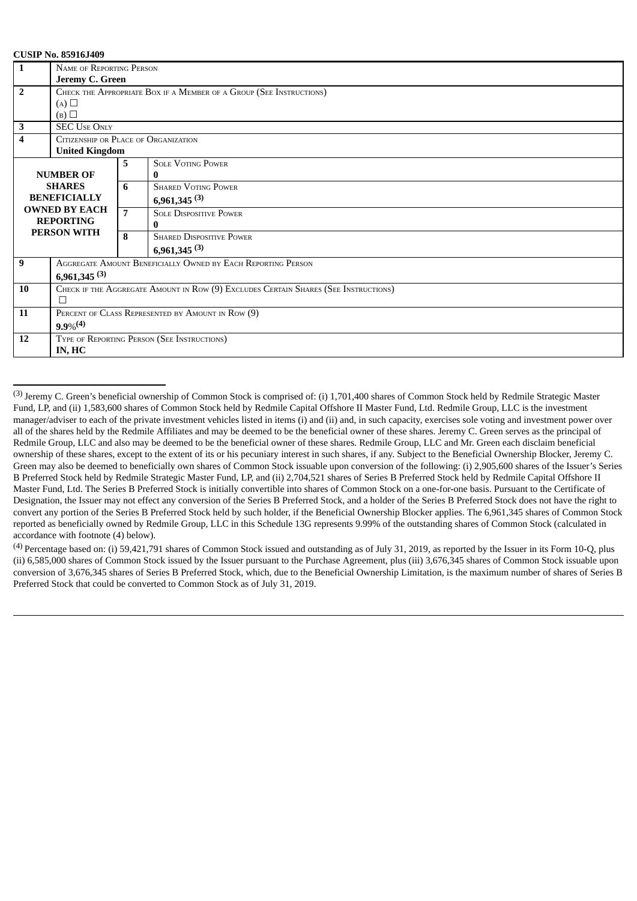| $\mathbf{1}$            | NAME OF REPORTING PERSON                                     |                |                                                                                     |  |  |  |
|-------------------------|--------------------------------------------------------------|----------------|-------------------------------------------------------------------------------------|--|--|--|
|                         |                                                              |                |                                                                                     |  |  |  |
|                         | Jeremy C. Green                                              |                |                                                                                     |  |  |  |
| $\overline{2}$          |                                                              |                | CHECK THE APPROPRIATE BOX IF A MEMBER OF A GROUP (SEE INSTRUCTIONS)                 |  |  |  |
|                         | (A)                                                          |                |                                                                                     |  |  |  |
|                         | (B)                                                          |                |                                                                                     |  |  |  |
| $\mathbf{3}$            | <b>SEC USE ONLY</b>                                          |                |                                                                                     |  |  |  |
| $\overline{\mathbf{4}}$ | CITIZENSHIP OR PLACE OF ORGANIZATION                         |                |                                                                                     |  |  |  |
|                         | <b>United Kingdom</b>                                        |                |                                                                                     |  |  |  |
|                         |                                                              | 5              | <b>SOLE VOTING POWER</b>                                                            |  |  |  |
| <b>NUMBER OF</b>        |                                                              |                | 0                                                                                   |  |  |  |
| <b>SHARES</b>           |                                                              | 6              | <b>SHARED VOTING POWER</b>                                                          |  |  |  |
| <b>BENEFICIALLY</b>     |                                                              |                | 6,961,345 $(3)$                                                                     |  |  |  |
|                         | <b>OWNED BY EACH</b>                                         | $\overline{7}$ | <b>SOLE DISPOSITIVE POWER</b>                                                       |  |  |  |
| <b>REPORTING</b>        |                                                              |                |                                                                                     |  |  |  |
|                         | PERSON WITH                                                  | 8              | <b>SHARED DISPOSITIVE POWER</b>                                                     |  |  |  |
|                         |                                                              |                | $6,961,345$ <sup>(3)</sup>                                                          |  |  |  |
| 9                       |                                                              |                |                                                                                     |  |  |  |
|                         | AGGREGATE AMOUNT BENEFICIALLY OWNED BY EACH REPORTING PERSON |                |                                                                                     |  |  |  |
|                         | $6,961,345$ <sup>(3)</sup>                                   |                |                                                                                     |  |  |  |
| 10                      |                                                              |                | CHECK IF THE AGGREGATE AMOUNT IN ROW (9) EXCLUDES CERTAIN SHARES (SEE INSTRUCTIONS) |  |  |  |
|                         | П                                                            |                |                                                                                     |  |  |  |
| 11                      | PERCENT OF CLASS REPRESENTED BY AMOUNT IN ROW (9)            |                |                                                                                     |  |  |  |
|                         | $9.9\%^{(4)}$                                                |                |                                                                                     |  |  |  |
| 12                      |                                                              |                | TYPE OF REPORTING PERSON (SEE INSTRUCTIONS)                                         |  |  |  |
|                         | IN, HC                                                       |                |                                                                                     |  |  |  |
|                         |                                                              |                |                                                                                     |  |  |  |

<sup>&</sup>lt;sup>(3)</sup> Jeremy C. Green's beneficial ownership of Common Stock is comprised of: (i) 1,701,400 shares of Common Stock held by Redmile Strategic Master Fund, LP, and (ii) 1,583,600 shares of Common Stock held by Redmile Capital Offshore II Master Fund, Ltd. Redmile Group, LLC is the investment manager/adviser to each of the private investment vehicles listed in items (i) and (ii) and, in such capacity, exercises sole voting and investment power over all of the shares held by the Redmile Affiliates and may be deemed to be the beneficial owner of these shares. Jeremy C. Green serves as the principal of Redmile Group, LLC and also may be deemed to be the beneficial owner of these shares. Redmile Group, LLC and Mr. Green each disclaim beneficial ownership of these shares, except to the extent of its or his pecuniary interest in such shares, if any. Subject to the Beneficial Ownership Blocker, Jeremy C. Green may also be deemed to beneficially own shares of Common Stock issuable upon conversion of the following: (i) 2,905,600 shares of the Issuer's Series B Preferred Stock held by Redmile Strategic Master Fund, LP, and (ii) 2,704,521 shares of Series B Preferred Stock held by Redmile Capital Offshore II Master Fund, Ltd. The Series B Preferred Stock is initially convertible into shares of Common Stock on a one-for-one basis. Pursuant to the Certificate of Designation, the Issuer may not effect any conversion of the Series B Preferred Stock, and a holder of the Series B Preferred Stock does not have the right to convert any portion of the Series B Preferred Stock held by such holder, if the Beneficial Ownership Blocker applies. The 6,961,345 shares of Common Stock reported as beneficially owned by Redmile Group, LLC in this Schedule 13G represents 9.99% of the outstanding shares of Common Stock (calculated in accordance with footnote (4) below).

 $^{(4)}$  Percentage based on: (i) 59,421,791 shares of Common Stock issued and outstanding as of July 31, 2019, as reported by the Issuer in its Form 10-Q, plus (ii) 6,585,000 shares of Common Stock issued by the Issuer pursuant to the Purchase Agreement, plus (iii) 3,676,345 shares of Common Stock issuable upon conversion of 3,676,345 shares of Series B Preferred Stock, which, due to the Beneficial Ownership Limitation, is the maximum number of shares of Series B Preferred Stock that could be converted to Common Stock as of July 31, 2019.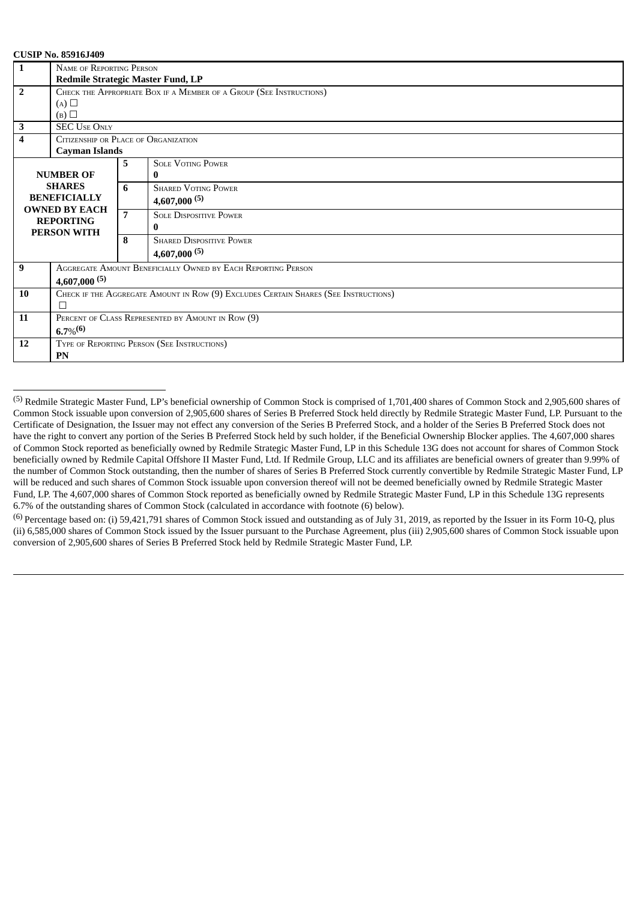| $\mathbf{1}$                           | <b>NAME OF REPORTING PERSON</b>                                                     |                |                                                                     |  |  |  |
|----------------------------------------|-------------------------------------------------------------------------------------|----------------|---------------------------------------------------------------------|--|--|--|
|                                        | Redmile Strategic Master Fund, LP                                                   |                |                                                                     |  |  |  |
| $\overline{2}$                         |                                                                                     |                | CHECK THE APPROPRIATE BOX IF A MEMBER OF A GROUP (SEE INSTRUCTIONS) |  |  |  |
|                                        | $(A)$ $\square$                                                                     |                |                                                                     |  |  |  |
|                                        | (B)                                                                                 |                |                                                                     |  |  |  |
| $\mathbf 3$                            | <b>SEC USE ONLY</b>                                                                 |                |                                                                     |  |  |  |
| $\overline{4}$                         | CITIZENSHIP OR PLACE OF ORGANIZATION                                                |                |                                                                     |  |  |  |
|                                        | <b>Cayman Islands</b>                                                               |                |                                                                     |  |  |  |
|                                        |                                                                                     | 5.             | <b>SOLE VOTING POWER</b>                                            |  |  |  |
|                                        | <b>NUMBER OF</b>                                                                    |                | 0                                                                   |  |  |  |
| <b>SHARES</b>                          |                                                                                     | 6              | <b>SHARED VOTING POWER</b>                                          |  |  |  |
| <b>BENEFICIALLY</b>                    |                                                                                     |                | $4,607,000^{(5)}$                                                   |  |  |  |
|                                        | <b>OWNED BY EACH</b>                                                                | $\overline{7}$ | <b>SOLE DISPOSITIVE POWER</b>                                       |  |  |  |
| <b>REPORTING</b><br><b>PERSON WITH</b> |                                                                                     |                |                                                                     |  |  |  |
|                                        |                                                                                     |                |                                                                     |  |  |  |
|                                        |                                                                                     | 8              | <b>SHARED DISPOSITIVE POWER</b>                                     |  |  |  |
|                                        |                                                                                     |                | $4,607,000^{(5)}$                                                   |  |  |  |
| 9                                      |                                                                                     |                | AGGREGATE AMOUNT BENEFICIALLY OWNED BY EACH REPORTING PERSON        |  |  |  |
|                                        | $4,607,000^{(5)}$                                                                   |                |                                                                     |  |  |  |
| 10                                     | CHECK IF THE AGGREGATE AMOUNT IN ROW (9) EXCLUDES CERTAIN SHARES (SEE INSTRUCTIONS) |                |                                                                     |  |  |  |
|                                        | П                                                                                   |                |                                                                     |  |  |  |
| 11                                     | PERCENT OF CLASS REPRESENTED BY AMOUNT IN ROW (9)                                   |                |                                                                     |  |  |  |
|                                        | $6.7\%$ <sup>(6)</sup>                                                              |                |                                                                     |  |  |  |
| <b>12</b>                              | TYPE OF REPORTING PERSON (SEE INSTRUCTIONS)                                         |                |                                                                     |  |  |  |
|                                        | PN                                                                                  |                |                                                                     |  |  |  |

<sup>(5)</sup> Redmile Strategic Master Fund, LP's beneficial ownership of Common Stock is comprised of 1,701,400 shares of Common Stock and 2,905,600 shares of Common Stock issuable upon conversion of 2,905,600 shares of Series B Preferred Stock held directly by Redmile Strategic Master Fund, LP. Pursuant to the Certificate of Designation, the Issuer may not effect any conversion of the Series B Preferred Stock, and a holder of the Series B Preferred Stock does not have the right to convert any portion of the Series B Preferred Stock held by such holder, if the Beneficial Ownership Blocker applies. The 4,607,000 shares of Common Stock reported as beneficially owned by Redmile Strategic Master Fund, LP in this Schedule 13G does not account for shares of Common Stock beneficially owned by Redmile Capital Offshore II Master Fund, Ltd. If Redmile Group, LLC and its affiliates are beneficial owners of greater than 9.99% of the number of Common Stock outstanding, then the number of shares of Series B Preferred Stock currently convertible by Redmile Strategic Master Fund, LP will be reduced and such shares of Common Stock issuable upon conversion thereof will not be deemed beneficially owned by Redmile Strategic Master Fund, LP. The 4,607,000 shares of Common Stock reported as beneficially owned by Redmile Strategic Master Fund, LP in this Schedule 13G represents 6.7% of the outstanding shares of Common Stock (calculated in accordance with footnote (6) below).

 $(6)$  Percentage based on: (i) 59,421,791 shares of Common Stock issued and outstanding as of July 31, 2019, as reported by the Issuer in its Form 10-Q, plus (ii) 6,585,000 shares of Common Stock issued by the Issuer pursuant to the Purchase Agreement, plus (iii) 2,905,600 shares of Common Stock issuable upon conversion of 2,905,600 shares of Series B Preferred Stock held by Redmile Strategic Master Fund, LP.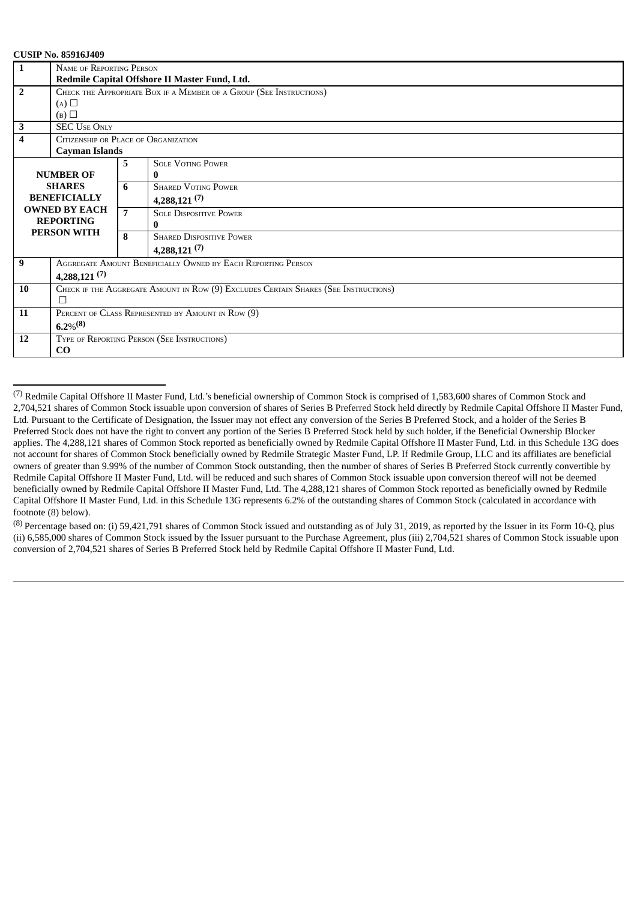| $\mathbf{1}$            |                                                                     |                |                                                                                     |  |  |  |
|-------------------------|---------------------------------------------------------------------|----------------|-------------------------------------------------------------------------------------|--|--|--|
|                         | NAME OF REPORTING PERSON                                            |                |                                                                                     |  |  |  |
|                         | Redmile Capital Offshore II Master Fund, Ltd.                       |                |                                                                                     |  |  |  |
| $\overline{2}$          | CHECK THE APPROPRIATE BOX IF A MEMBER OF A GROUP (SEE INSTRUCTIONS) |                |                                                                                     |  |  |  |
|                         | $(A)$ $\square$                                                     |                |                                                                                     |  |  |  |
|                         | (B)                                                                 |                |                                                                                     |  |  |  |
| 3                       | <b>SEC USE ONLY</b>                                                 |                |                                                                                     |  |  |  |
| $\overline{\mathbf{4}}$ | CITIZENSHIP OR PLACE OF ORGANIZATION                                |                |                                                                                     |  |  |  |
|                         | <b>Cayman Islands</b>                                               |                |                                                                                     |  |  |  |
|                         |                                                                     | 5              | <b>SOLE VOTING POWER</b>                                                            |  |  |  |
|                         | <b>NUMBER OF</b>                                                    |                | 0                                                                                   |  |  |  |
|                         | <b>SHARES</b>                                                       | 6              | <b>SHARED VOTING POWER</b>                                                          |  |  |  |
| <b>BENEFICIALLY</b>     |                                                                     |                | $4,288,121^{(7)}$                                                                   |  |  |  |
|                         | <b>OWNED BY EACH</b>                                                | $\overline{7}$ | <b>SOLE DISPOSITIVE POWER</b>                                                       |  |  |  |
| <b>REPORTING</b>        |                                                                     |                | 0                                                                                   |  |  |  |
| <b>PERSON WITH</b>      |                                                                     | 8              | <b>SHARED DISPOSITIVE POWER</b>                                                     |  |  |  |
|                         |                                                                     |                | $4,288,121^{(7)}$                                                                   |  |  |  |
| 9                       |                                                                     |                | AGGREGATE AMOUNT BENEFICIALLY OWNED BY EACH REPORTING PERSON                        |  |  |  |
|                         | $4,288,121^{(7)}$                                                   |                |                                                                                     |  |  |  |
| 10                      |                                                                     |                | CHECK IF THE AGGREGATE AMOUNT IN ROW (9) EXCLUDES CERTAIN SHARES (SEE INSTRUCTIONS) |  |  |  |
|                         | П                                                                   |                |                                                                                     |  |  |  |
| 11                      | PERCENT OF CLASS REPRESENTED BY AMOUNT IN ROW (9)                   |                |                                                                                     |  |  |  |
|                         | $6.2\%^{(8)}$                                                       |                |                                                                                     |  |  |  |
| 12                      | TYPE OF REPORTING PERSON (SEE INSTRUCTIONS)                         |                |                                                                                     |  |  |  |
|                         | CO                                                                  |                |                                                                                     |  |  |  |

 $<sup>(7)</sup>$  Redmile Capital Offshore II Master Fund, Ltd.'s beneficial ownership of Common Stock is comprised of 1,583,600 shares of Common Stock and</sup> 2,704,521 shares of Common Stock issuable upon conversion of shares of Series B Preferred Stock held directly by Redmile Capital Offshore II Master Fund, Ltd. Pursuant to the Certificate of Designation, the Issuer may not effect any conversion of the Series B Preferred Stock, and a holder of the Series B Preferred Stock does not have the right to convert any portion of the Series B Preferred Stock held by such holder, if the Beneficial Ownership Blocker applies. The 4,288,121 shares of Common Stock reported as beneficially owned by Redmile Capital Offshore II Master Fund, Ltd. in this Schedule 13G does not account for shares of Common Stock beneficially owned by Redmile Strategic Master Fund, LP. If Redmile Group, LLC and its affiliates are beneficial owners of greater than 9.99% of the number of Common Stock outstanding, then the number of shares of Series B Preferred Stock currently convertible by Redmile Capital Offshore II Master Fund, Ltd. will be reduced and such shares of Common Stock issuable upon conversion thereof will not be deemed beneficially owned by Redmile Capital Offshore II Master Fund, Ltd. The 4,288,121 shares of Common Stock reported as beneficially owned by Redmile Capital Offshore II Master Fund, Ltd. in this Schedule 13G represents 6.2% of the outstanding shares of Common Stock (calculated in accordance with footnote (8) below).

 $^{(8)}$  Percentage based on: (i) 59,421,791 shares of Common Stock issued and outstanding as of July 31, 2019, as reported by the Issuer in its Form 10-Q, plus (ii) 6,585,000 shares of Common Stock issued by the Issuer pursuant to the Purchase Agreement, plus (iii) 2,704,521 shares of Common Stock issuable upon conversion of 2,704,521 shares of Series B Preferred Stock held by Redmile Capital Offshore II Master Fund, Ltd.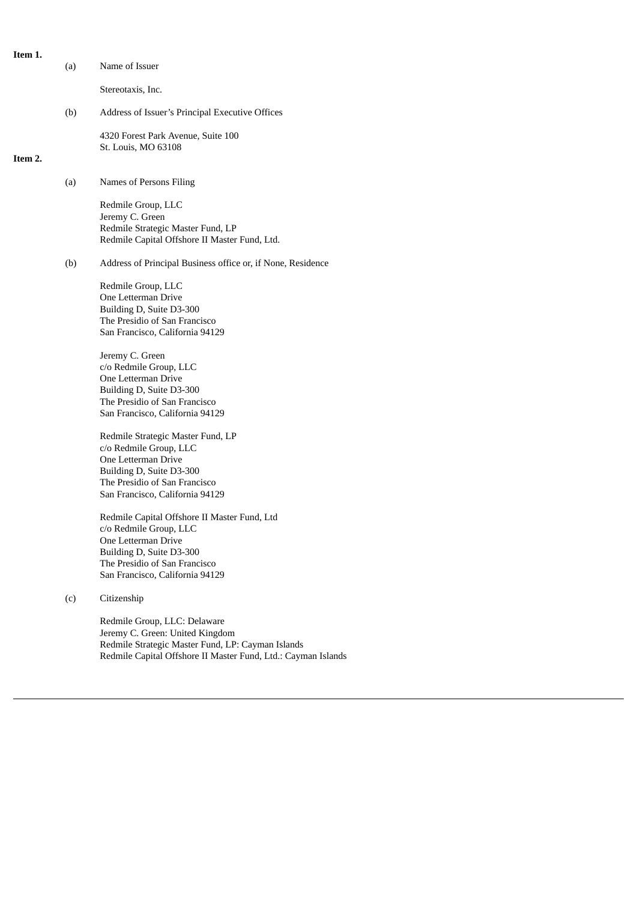| Item 1. |     |                                                                                                                                                                                    |
|---------|-----|------------------------------------------------------------------------------------------------------------------------------------------------------------------------------------|
|         | (a) | Name of Issuer                                                                                                                                                                     |
|         |     | Stereotaxis, Inc.                                                                                                                                                                  |
|         | (b) | Address of Issuer's Principal Executive Offices                                                                                                                                    |
| Item 2. |     | 4320 Forest Park Avenue, Suite 100<br>St. Louis, MO 63108                                                                                                                          |
|         | (a) | Names of Persons Filing                                                                                                                                                            |
|         |     | Redmile Group, LLC<br>Jeremy C. Green<br>Redmile Strategic Master Fund, LP<br>Redmile Capital Offshore II Master Fund, Ltd.                                                        |
|         | (b) | Address of Principal Business office or, if None, Residence                                                                                                                        |
|         |     | Redmile Group, LLC<br>One Letterman Drive<br>Building D, Suite D3-300<br>The Presidio of San Francisco<br>San Francisco, California 94129                                          |
|         |     | Jeremy C. Green<br>c/o Redmile Group, LLC<br>One Letterman Drive<br>Building D, Suite D3-300<br>The Presidio of San Francisco<br>San Francisco, California 94129                   |
|         |     | Redmile Strategic Master Fund, LP<br>c/o Redmile Group, LLC<br>One Letterman Drive<br>Building D, Suite D3-300<br>The Presidio of San Francisco<br>San Francisco, California 94129 |

Redmile Capital Offshore II Master Fund, Ltd c/o Redmile Group, LLC One Letterman Drive Building D, Suite D3-300 The Presidio of San Francisco San Francisco, California 94129

(c) Citizenship

Redmile Group, LLC: Delaware Jeremy C. Green: United Kingdom Redmile Strategic Master Fund, LP: Cayman Islands Redmile Capital Offshore II Master Fund, Ltd.: Cayman Islands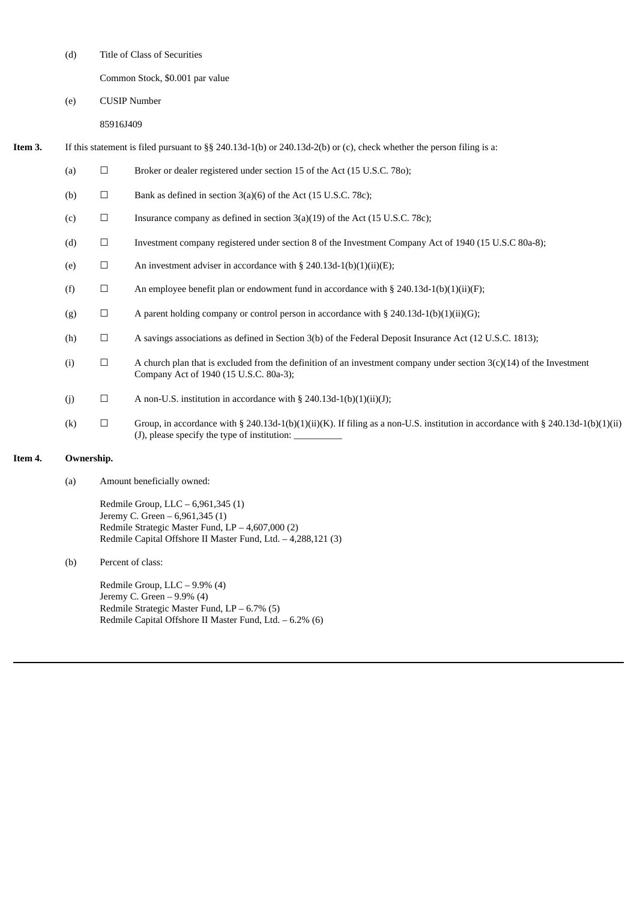(d) Title of Class of Securities

Common Stock, \$0.001 par value

(e) CUSIP Number

85916J409

- **Item 3.** If this statement is filed pursuant to §§ 240.13d-1(b) or 240.13d-2(b) or (c), check whether the person filing is a:
	- (a)  $\Box$  Broker or dealer registered under section 15 of the Act (15 U.S.C. 780);
	- (b)  $\Box$  Bank as defined in section 3(a)(6) of the Act (15 U.S.C. 78c);
	- (c)  $\Box$  Insurance company as defined in section 3(a)(19) of the Act (15 U.S.C. 78c);
	- (d) ☐ Investment company registered under section 8 of the Investment Company Act of 1940 (15 U.S.C 80a-8);
	- (e)  $\Box$  An investment adviser in accordance with § 240.13d-1(b)(1)(ii)(E);
	- (f)  $\Box$  An employee benefit plan or endowment fund in accordance with § 240.13d-1(b)(1)(ii)(F);
	- (g)  $\Box$  A parent holding company or control person in accordance with § 240.13d-1(b)(1)(ii)(G);
	- (h)  $\Box$  A savings associations as defined in Section 3(b) of the Federal Deposit Insurance Act (12 U.S.C. 1813);
	- (i)  $\Box$  A church plan that is excluded from the definition of an investment company under section 3(c)(14) of the Investment Company Act of 1940 (15 U.S.C. 80a-3);
	- (j)  $\Box$  A non-U.S. institution in accordance with § 240.13d-1(b)(1)(ii)(J);
	- (k)  $\Box$  Group, in accordance with § 240.13d-1(b)(1)(ii)(K). If filing as a non-U.S. institution in accordance with § 240.13d-1(b)(1)(ii) (J), please specify the type of institution:

#### **Item 4. Ownership.**

(a) Amount beneficially owned:

Redmile Group, LLC – 6,961,345 (1) Jeremy C. Green – 6,961,345 (1) Redmile Strategic Master Fund, LP – 4,607,000 (2) Redmile Capital Offshore II Master Fund, Ltd. – 4,288,121 (3)

(b) Percent of class:

Redmile Group, LLC – 9.9% (4) Jeremy C. Green – 9.9% (4) Redmile Strategic Master Fund, LP – 6.7% (5) Redmile Capital Offshore II Master Fund, Ltd. – 6.2% (6)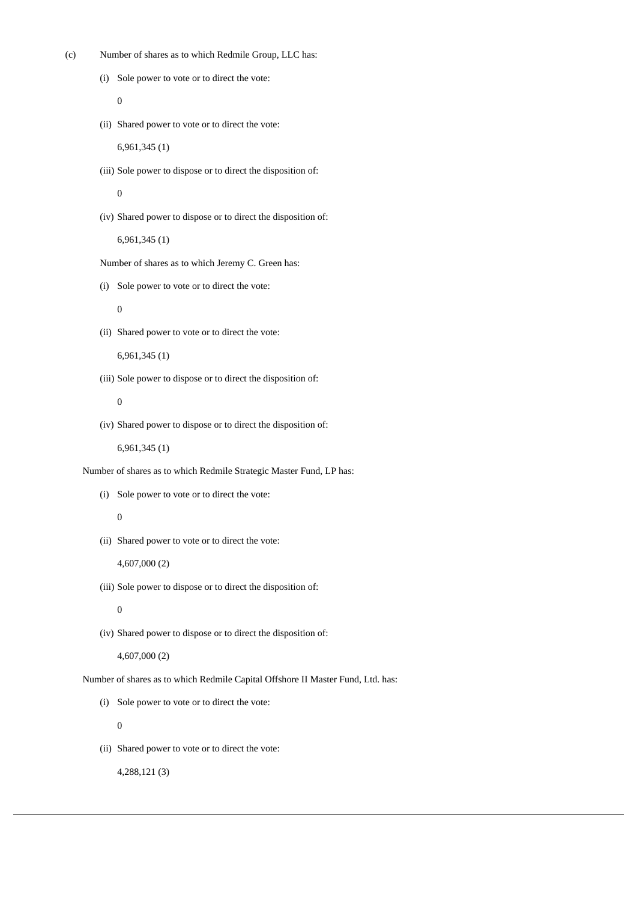(c) Number of shares as to which Redmile Group, LLC has:

```
(i) Sole power to vote or to direct the vote:
```
0

(ii) Shared power to vote or to direct the vote:

6,961,345 (1)

(iii) Sole power to dispose or to direct the disposition of:

 $\Omega$ 

(iv) Shared power to dispose or to direct the disposition of:

6,961,345 (1)

Number of shares as to which Jeremy C. Green has:

(i) Sole power to vote or to direct the vote:

 $\theta$ 

(ii) Shared power to vote or to direct the vote:

6,961,345 (1)

(iii) Sole power to dispose or to direct the disposition of:

0

(iv) Shared power to dispose or to direct the disposition of:

6,961,345 (1)

Number of shares as to which Redmile Strategic Master Fund, LP has:

(i) Sole power to vote or to direct the vote:

## 0

(ii) Shared power to vote or to direct the vote:

4,607,000 (2)

(iii) Sole power to dispose or to direct the disposition of:

0

(iv) Shared power to dispose or to direct the disposition of:

4,607,000 (2)

Number of shares as to which Redmile Capital Offshore II Master Fund, Ltd. has:

(i) Sole power to vote or to direct the vote:

 $\overline{0}$ 

(ii) Shared power to vote or to direct the vote:

4,288,121 (3)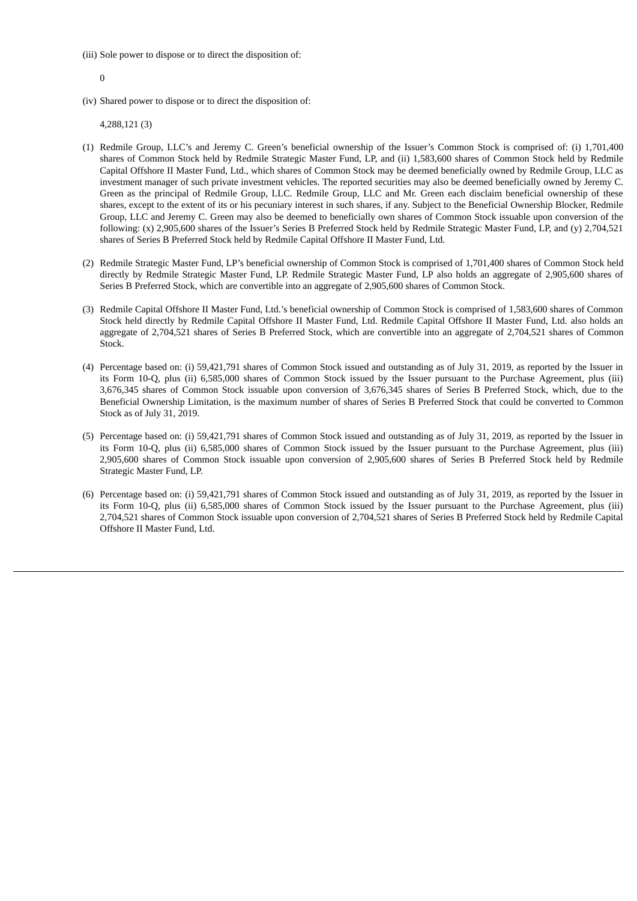(iii) Sole power to dispose or to direct the disposition of:

0

(iv) Shared power to dispose or to direct the disposition of:

4,288,121 (3)

- (1) Redmile Group, LLC's and Jeremy C. Green's beneficial ownership of the Issuer's Common Stock is comprised of: (i) 1,701,400 shares of Common Stock held by Redmile Strategic Master Fund, LP, and (ii) 1,583,600 shares of Common Stock held by Redmile Capital Offshore II Master Fund, Ltd., which shares of Common Stock may be deemed beneficially owned by Redmile Group, LLC as investment manager of such private investment vehicles. The reported securities may also be deemed beneficially owned by Jeremy C. Green as the principal of Redmile Group, LLC. Redmile Group, LLC and Mr. Green each disclaim beneficial ownership of these shares, except to the extent of its or his pecuniary interest in such shares, if any. Subject to the Beneficial Ownership Blocker, Redmile Group, LLC and Jeremy C. Green may also be deemed to beneficially own shares of Common Stock issuable upon conversion of the following: (x) 2,905,600 shares of the Issuer's Series B Preferred Stock held by Redmile Strategic Master Fund, LP, and (y) 2,704,521 shares of Series B Preferred Stock held by Redmile Capital Offshore II Master Fund, Ltd.
- (2) Redmile Strategic Master Fund, LP's beneficial ownership of Common Stock is comprised of 1,701,400 shares of Common Stock held directly by Redmile Strategic Master Fund, LP. Redmile Strategic Master Fund, LP also holds an aggregate of 2,905,600 shares of Series B Preferred Stock, which are convertible into an aggregate of 2,905,600 shares of Common Stock.
- (3) Redmile Capital Offshore II Master Fund, Ltd.'s beneficial ownership of Common Stock is comprised of 1,583,600 shares of Common Stock held directly by Redmile Capital Offshore II Master Fund, Ltd. Redmile Capital Offshore II Master Fund, Ltd. also holds an aggregate of 2,704,521 shares of Series B Preferred Stock, which are convertible into an aggregate of 2,704,521 shares of Common Stock.
- (4) Percentage based on: (i) 59,421,791 shares of Common Stock issued and outstanding as of July 31, 2019, as reported by the Issuer in its Form 10-Q, plus (ii) 6,585,000 shares of Common Stock issued by the Issuer pursuant to the Purchase Agreement, plus (iii) 3,676,345 shares of Common Stock issuable upon conversion of 3,676,345 shares of Series B Preferred Stock, which, due to the Beneficial Ownership Limitation, is the maximum number of shares of Series B Preferred Stock that could be converted to Common Stock as of July 31, 2019.
- (5) Percentage based on: (i) 59,421,791 shares of Common Stock issued and outstanding as of July 31, 2019, as reported by the Issuer in its Form 10-Q, plus (ii) 6,585,000 shares of Common Stock issued by the Issuer pursuant to the Purchase Agreement, plus (iii) 2,905,600 shares of Common Stock issuable upon conversion of 2,905,600 shares of Series B Preferred Stock held by Redmile Strategic Master Fund, LP.
- (6) Percentage based on: (i) 59,421,791 shares of Common Stock issued and outstanding as of July 31, 2019, as reported by the Issuer in its Form 10-Q, plus (ii) 6,585,000 shares of Common Stock issued by the Issuer pursuant to the Purchase Agreement, plus (iii) 2,704,521 shares of Common Stock issuable upon conversion of 2,704,521 shares of Series B Preferred Stock held by Redmile Capital Offshore II Master Fund, Ltd.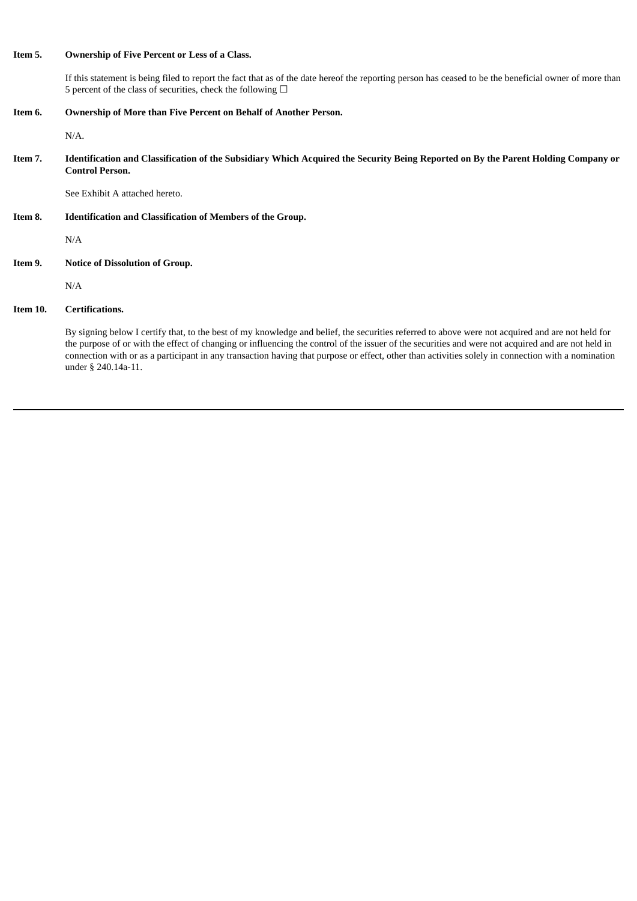### **Item 5. Ownership of Five Percent or Less of a Class.**

If this statement is being filed to report the fact that as of the date hereof the reporting person has ceased to be the beneficial owner of more than 5 percent of the class of securities, check the following  $\Box$ 

**Item 6. Ownership of More than Five Percent on Behalf of Another Person.**

N/A.

Item 7. Identification and Classification of the Subsidiary Which Acquired the Security Being Reported on By the Parent Holding Company or **Control Person.**

See Exhibit A attached hereto.

**Item 8. Identification and Classification of Members of the Group.**

N/A

**Item 9. Notice of Dissolution of Group.**

N/A

## **Item 10. Certifications.**

By signing below I certify that, to the best of my knowledge and belief, the securities referred to above were not acquired and are not held for the purpose of or with the effect of changing or influencing the control of the issuer of the securities and were not acquired and are not held in connection with or as a participant in any transaction having that purpose or effect, other than activities solely in connection with a nomination under § 240.14a-11.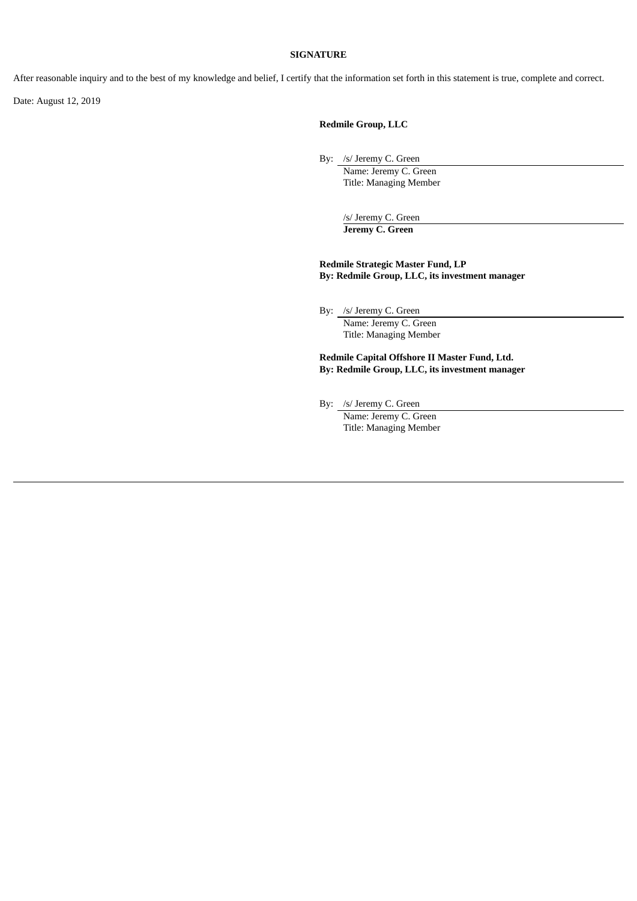#### **SIGNATURE**

After reasonable inquiry and to the best of my knowledge and belief, I certify that the information set forth in this statement is true, complete and correct.

Date: August 12, 2019

**Redmile Group, LLC**

By: /s/ Jeremy C. Green

Name: Jeremy C. Green Title: Managing Member

/s/ Jeremy C. Green **Jeremy C. Green**

**Redmile Strategic Master Fund, LP By: Redmile Group, LLC, its investment manager**

By: /s/ Jeremy C. Green

Name: Jeremy C. Green Title: Managing Member

**Redmile Capital Offshore II Master Fund, Ltd. By: Redmile Group, LLC, its investment manager**

By: /s/ Jeremy C. Green

Name: Jeremy C. Green Title: Managing Member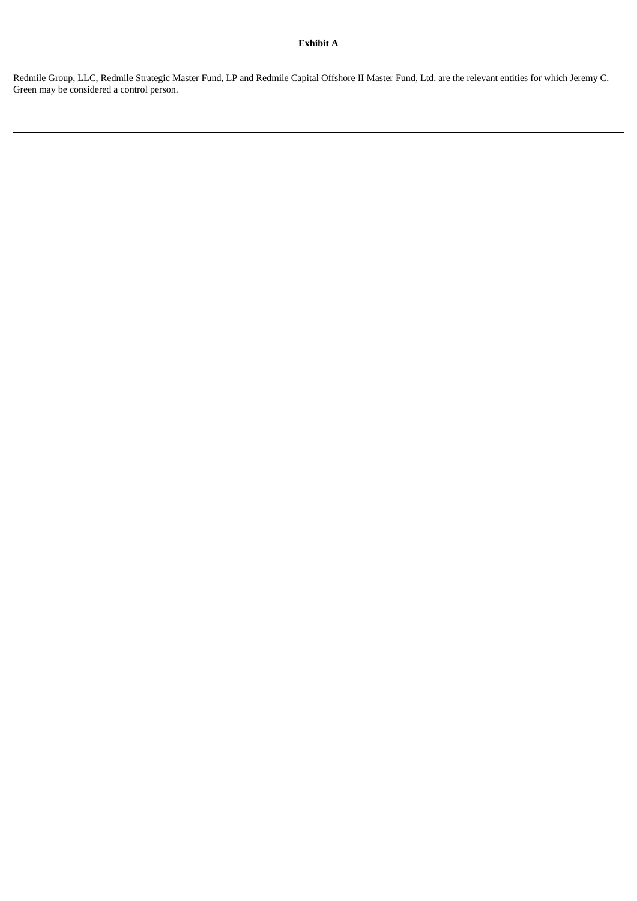## **Exhibit A**

Redmile Group, LLC, Redmile Strategic Master Fund, LP and Redmile Capital Offshore II Master Fund, Ltd. are the relevant entities for which Jeremy C. Green may be considered a control person.